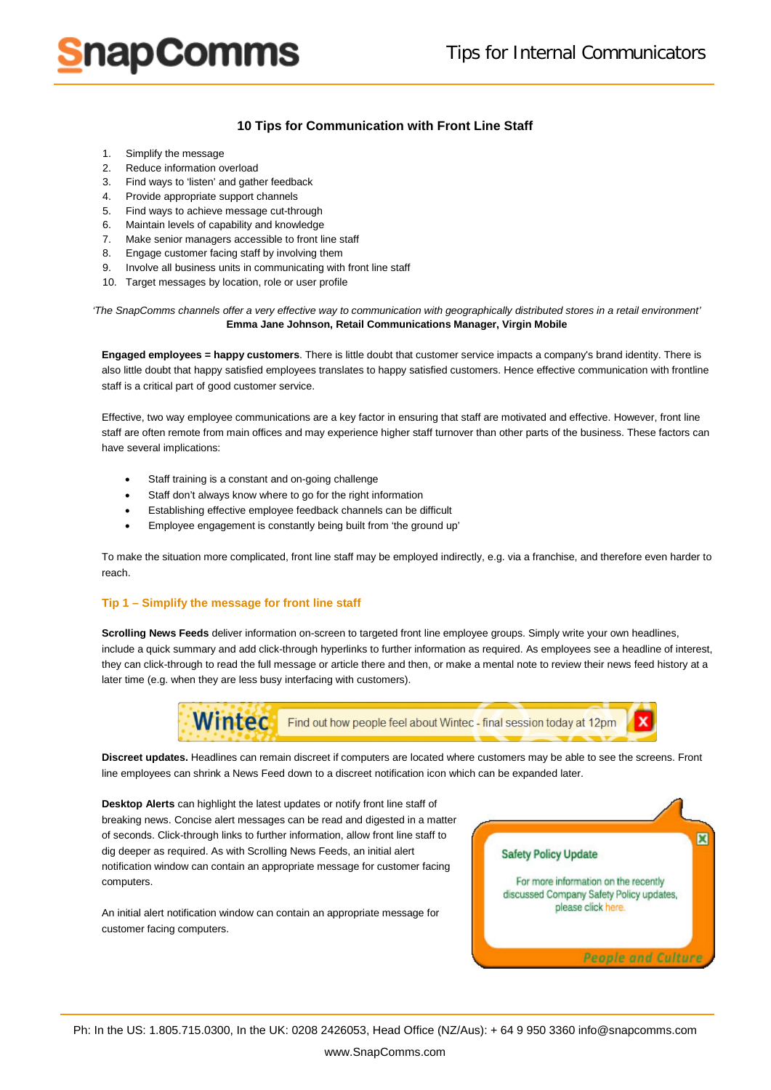# napComms

### **10 Tips for Communication with Front Line Staff**

- 1. Simplify the message
- 2. Reduce information overload
- 3. Find ways to 'listen' and gather feedback
- 4. Provide appropriate support channels
- 5. Find ways to achieve message cut-through
- 6. Maintain levels of capability and knowledge
- 7. Make senior managers accessible to front line staff
- 8. Engage customer facing staff by involving them
- 9. Involve all business units in communicating with front line staff
- 10. Target messages by location, role or user profile

*'The SnapComms channels offer a very effective way to communication with geographically distributed stores in a retail environment'* **Emma Jane Johnson, Retail Communications Manager, Virgin Mobile**

**Engaged employees = happy customers**. There is little doubt that customer service impacts a company's brand identity. There is also little doubt that happy satisfied employees translates to happy satisfied customers. Hence effective communication with frontline staff is a critical part of good customer service.

Effective, two way employee communications are a key factor in ensuring that staff are motivated and effective. However, front line staff are often remote from main offices and may experience higher staff turnover than other parts of the business. These factors can have several implications:

- Staff training is a constant and on-going challenge
- Staff don't always know where to go for the right information
- Establishing effective employee feedback channels can be difficult
- Employee engagement is constantly being built from 'the ground up'

To make the situation more complicated, front line staff may be employed indirectly, e.g. via a franchise, and therefore even harder to reach.

#### **Tip 1 – Simplify the message for front line staff**

**[Scrolling News Feeds](http://www.snapcomms.com/products/desktop-news-feed.aspx)** deliver information on-screen to targeted front line employee groups. Simply write your own headlines, include a quick summary and add click-through hyperlinks to further information as required. As employees see a headline of interest, they can click-through to read the full message or article there and then, or make a mental note to review their news feed history at a later time (e.g. when they are less busy interfacing with customers).



**Discreet updates.** Headlines can remain discreet if computers are located where customers may be able to see the screens. Front line employees can shrink a News Feed down to a discreet notification icon which can be expanded later.

**[Desktop Alerts](http://www.snapcomms.com/products/desktop-alert.aspx)** can highlight the latest updates or notify front line staff of breaking news. Concise alert messages can be read and digested in a matter of seconds. Click-through links to further information, allow front line staff to dig deeper as required. As with [Scrolling News Feeds,](http://www.snapcomms.com/products/desktop-news-feed.aspx) an initial alert notification window can contain an appropriate message for customer facing computers.

An initial [alert notification window](http://www.snapcomms.com/products/desktop-alert.aspx) can contain an appropriate message for customer facing computers.

図 **Safety Policy Update** For more information on the recently discussed Company Safety Policy updates, please click here. **People and Culture**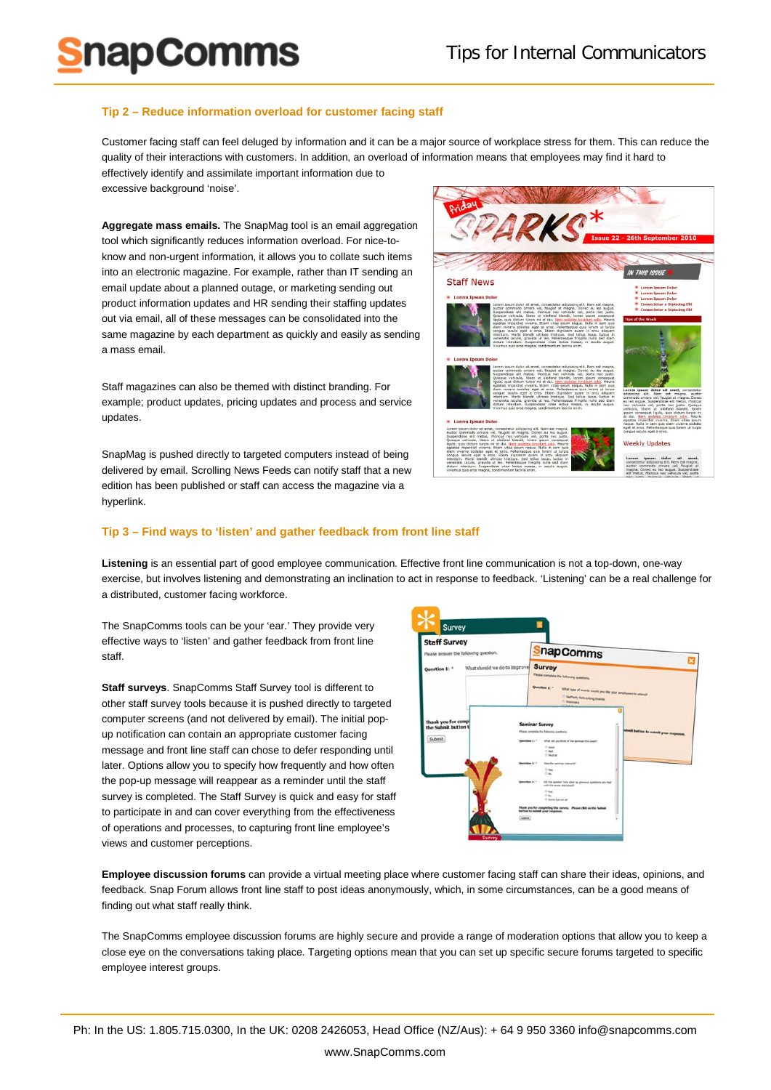#### **Tip 2 – Reduce information overload for customer facing staff**

**napComms** 

Customer facing staff can feel deluged by information and it can be a major source of workplace stress for them. This can reduce the quality of their interactions with customers. In addition, an overload of information means that employees may find it hard to effectively identify and assimilate important information due to excessive background 'noise'.

**Aggregate mass emails.** The [SnapMag](http://www.snapcomms.com/products/internal-newsletter.aspx) tool is an email aggregation tool which significantly reduces information overload. For nice-toknow and non-urgent information, it allows you to collate such items into an electronic magazine. For example, rather than IT sending an email update about a planned outage, or marketing sending out product information updates and HR sending their staffing updates out via email, all of these messages can be consolidated into the same magazine by each department as quickly and easily as sending a mass email.

[Staff magazines](http://www.snapcomms.com/products/internal-newsletter.aspx) can also be themed with distinct branding. For example; product updates, pricing updates and process and service updates.

[SnapMag](http://www.snapcomms.com/products/internal-newsletter.aspx) is pushed directly to targeted computers instead of being delivered by email. [Scrolling News Feeds](http://www.snapcomms.com/products/desktop-news-feed.aspx) can notify staff that a new edition has been published or staff can access the magazine via a hyperlink.



#### **Tip 3 – Find ways to 'listen' and gather feedback from front line staff**

**Listening** is an essential part of good employee communication. Effective front line communication is not a top-down, one-way exercise, but involves listening and demonstrating an inclination to act in response to feedback. 'Listening' can be a real challenge for a distributed, customer facing workforce.

The SnapComms tools can be your 'ear.' They provide very effective ways to 'listen' and gather feedback from front line staff.

**[Staff surveys](http://www.snapcomms.com/products/staff-survey.aspx)**. SnapComms [Staff Survey](http://www.snapcomms.com/products/staff-survey.aspx) tool is different to other staff survey tools because it is pushed directly to targeted computer screens (and not delivered by email). The initial popup notification can contain an appropriate customer facing message and front line staff can chose to defer responding until later. Options allow you to specify how frequently and how often the pop-up message will reappear as a reminder until the staff survey is completed. The [Staff Survey](http://www.snapcomms.com/products/staff-survey.aspx) is quick and easy for staff to participate in and can cover everything from the effectiveness of operations and processes, to capturing front line employee's views and customer perceptions.



**[Employee discussion forums](http://www.snapcomms.com/products/internal-social-media.aspx)** can provide a virtual meeting place where customer facing staff can share their ideas, opinions, and feedback. [Snap Forum](http://www.snapcomms.com/products/internal-social-media.aspx) allows front line staff to post ideas anonymously, which, in some circumstances, can be a good means of finding out what staff really think.

The SnapComms [employee discussion forums](http://www.snapcomms.com/products/internal-social-media.aspx) are highly secure and provide a range of moderation options that allow you to keep a close eye on the conversations taking place. Targeting options mean that you can set up specific secure forums targeted to specific employee interest groups.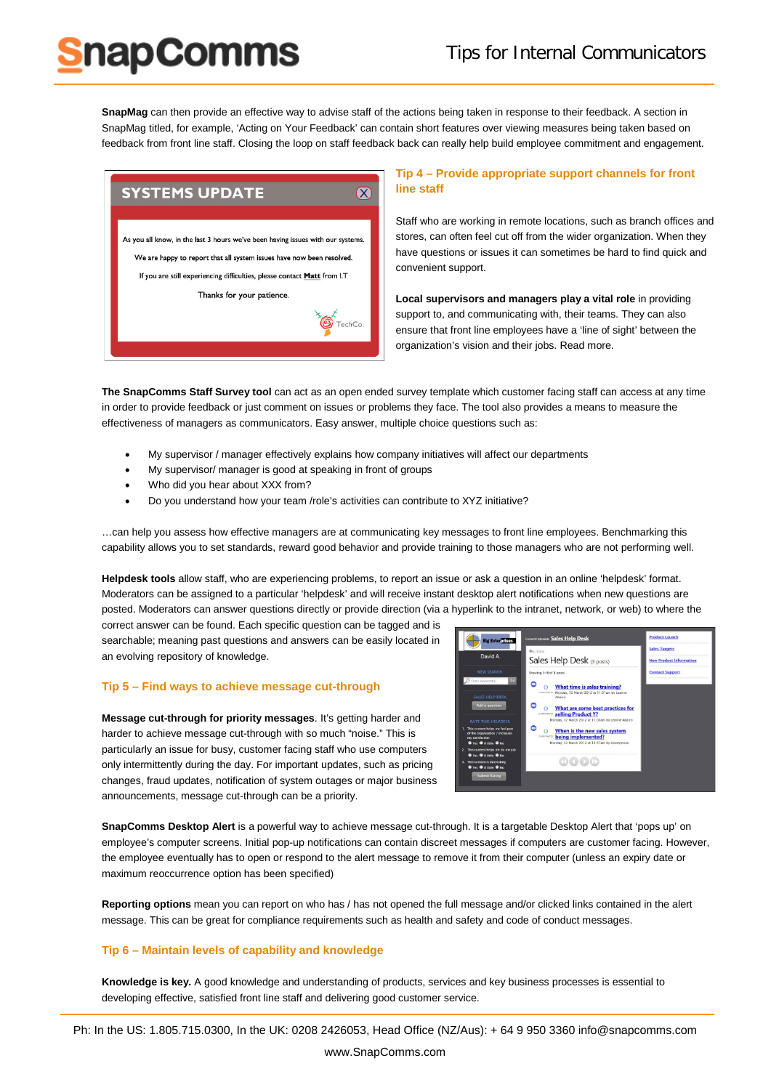## Tips for Internal Communicators

**[SnapMag](http://www.snapcomms.com/products/internal-newsletter.aspx)** can then provide an effective way to advise staff of the actions being taken in response to their feedback. A section in SnapMag titled, for example, 'Acting on Your Feedback' can contain short features over viewing measures being taken based on feedback from front line staff. Closing the loop on staff feedback back can really help build employee commitment and engagement.



napComms

#### **Tip 4 – Provide appropriate support channels for front line staff**

Staff who are working in remote locations, such as branch offices and stores, can often feel cut off from the wider organization. When they have questions or issues it can sometimes be hard to find quick and convenient support.

**Local supervisors and managers play a vital role** in providing support to, and communicating with, their teams. They can also ensure that front line employees have a 'line of sight' between the organization's vision and their jobs. [Read more.](http://www.snapcomms.com/solutions/improving-manager-communication.aspx)

**[The SnapComms Staff Survey tool](http://www.snapcomms.com/products/staff-survey.aspx)** can act as an open ended survey template which customer facing staff can access at any time in order to provide feedback or just comment on issues or problems they face. The tool also provides a means to measure the effectiveness of managers as communicators. Easy answer, multiple choice questions such as:

- My supervisor / manager effectively explains how company initiatives will affect our departments
- My supervisor/ manager is good at speaking in front of groups
- Who did you hear about XXX from?
- Do you understand how your team /role's activities can contribute to XYZ initiative?

…can help you assess how effective managers are at communicating key messages to front line employees. Benchmarking this capability allows you to set standards, reward good behavior and provide training to those managers who are not performing well.

**[Helpdesk tools](http://www.snapcomms.com/products/internal-social-media.aspx)** allow staff, who are experiencing problems, to report an issue or ask a question in an online 'helpdesk' format. Moderators can be assigned to a particular 'helpdesk' and will receive instant desktop alert notifications when new questions are posted. Moderators can answer questions directly or provide direction (via a hyperlink to the intranet, network, or web) to where the

correct answer can be found. Each specific question can be tagged and is searchable; meaning past questions and answers can be easily located in an evolving repository of knowledge.

#### **Tip 5 – Find ways to achieve message cut-through**

**Message cut-through for priority messages**. It's getting harder and harder to achieve message cut-through with so much "noise." This is particularly an issue for busy, customer facing staff who use computers only intermittently during the day. For important updates, such as pricing changes, fraud updates, notification of system outages or major business announcements, message cut-through can be a priority.



**[SnapComms Desktop Alert](http://www.snapcomms.com/products/desktop-alert.aspx)** is a powerful way to achieve message cut-through. It is a targetable Desktop Alert that 'pops up' on employee's computer screens. Initial pop-up notifications can contain discreet messages if computers are customer facing. However, the employee eventually has to open or respond to the alert message to remove it from their computer (unless an expiry date or maximum reoccurrence option has been specified)

**Reporting options** mean you can report on who has / has not opened the full message and/or clicked links contained in the alert message. This can be great for compliance requirements such as health and safety and code of conduct messages.

#### **Tip 6 – Maintain levels of capability and knowledge**

**Knowledge is key.** A good knowledge and understanding of products, services and key business processes is essential to developing effective, satisfied front line staff and delivering good customer service.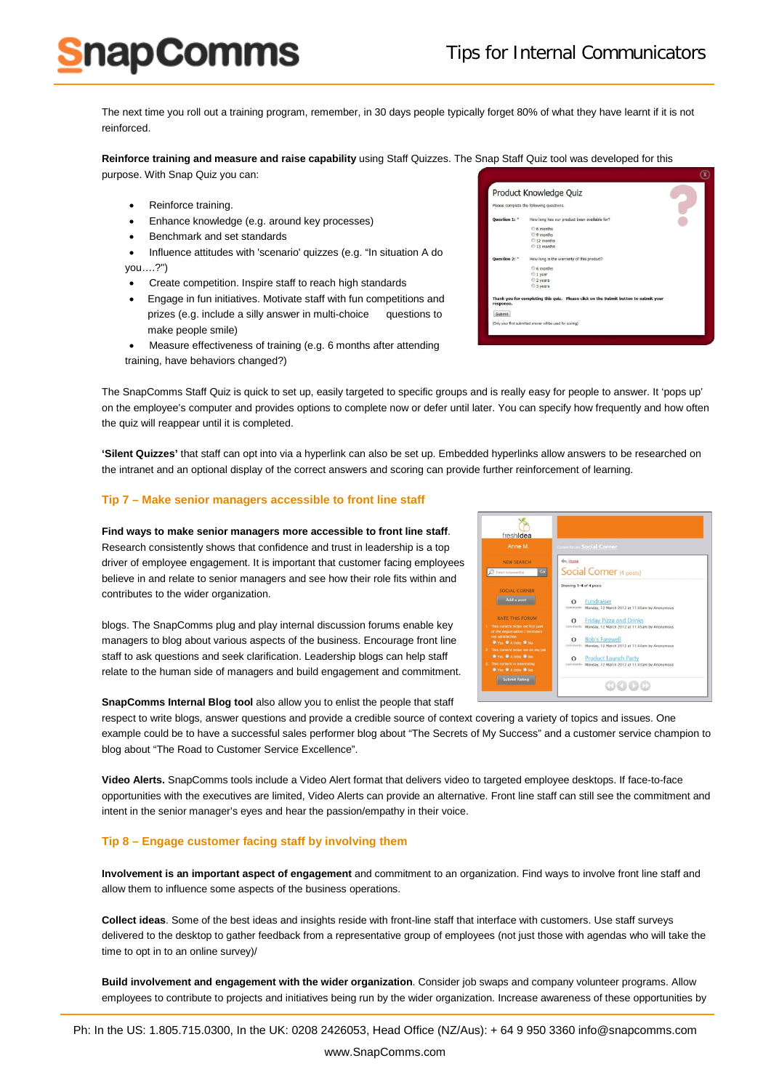Product Knowledge Ouiz the following que How long has o

How long is th

Submit

The next time you roll out a training program, remember, in 30 days people typically forget 80% of what they have learnt if it is not reinforced.

**Reinforce training and measure and raise capability** using [Staff Quizzes.](http://www.snapcomms.com/products/staff-quiz.aspx) The Snap Staff Quiz tool was developed for this

purpose. With Snap Quiz you can:

napComms

- Reinforce training.
- Enhance knowledge (e.g. around key processes)
- Benchmark and set standards
- Influence attitudes with 'scenario' quizzes (e.g. "In situation A do you….?")
- Create competition. Inspire staff to reach high standards
- Engage in fun initiatives. Motivate staff with fun competitions and prizes (e.g. include a silly answer in multi-choice questions to make people smile)
- Measure effectiveness of training (e.g. 6 months after attending training, have behaviors changed?)

The SnapComms [Staff Quiz](http://www.snapcomms.com/products/staff-quiz.aspx) is quick to set up, easily targeted to specific groups and is really easy for people to answer. It 'pops up' on the employee's computer and provides options to complete now or defer until later. You can specify how frequently and how often the quiz will reappear until it is completed.

**'Silent Quizzes'** that staff can opt into via a hyperlink can also be set up. Embedded hyperlinks allow answers to be researched on the intranet and an optional display of the correct answers and scoring can provide further reinforcement of learning.

#### **Tip 7 – Make senior managers accessible to front line staff**

#### **Find ways to make senior managers more accessible to front line staff**.

Research consistently shows that confidence and trust in leadership is a top driver of employee engagement. It is important that customer facing employees believe in and relate to senior managers and see how their role fits within and contributes to the wider organization.

blogs. The SnapComms [plug and play internal discussion forums](http://www.snapcomms.com/products/internal-social-media.aspx) enable key managers to blog about various aspects of the business. Encourage front line staff to ask questions and seek clarification. Leadership blogs can help staff relate to the human side of managers and build engagement and commitment.

**SnapComms Internal Blog tool** also allow you to enlist the people that staff

respect to write blogs, answer questions and provide a credible source of context covering a variety of topics and issues. One example could be to have a successful sales performer blog about "The Secrets of My Success" and a customer service champion to blog about "The Road to Customer Service Excellence".

**[Video Alerts.](http://www.snapcomms.com/products/desktop-alert.aspx)** SnapComms tools include a [Video Alert format](http://www.snapcomms.com/products/desktop-alert.aspx) that delivers video to targeted employee desktops. If face-to-face opportunities with the executives are limited, Video Alerts can provide an alternative. Front line staff can still see the commitment and intent in the senior manager's eyes and hear the passion/empathy in their voice.

#### **Tip 8 – Engage customer facing staff by involving them**

**Involvement is an important aspect of engagement** and commitment to an organization. Find ways to involve front line staff and allow them to influence some aspects of the business operations.

**Collect ideas**. Some of the best ideas and insights reside with front-line staff that interface with customers. Use staff surveys delivered to the desktop to gather feedback from a representative group of employees (not just those with agendas who will take the time to opt in to an online survey)/

**Build involvement and engagement with the wider organization**. Consider job swaps and company volunteer programs. Allow employees to contribute to projects and initiatives being run by the wider organization. Increase awareness of these opportunities by